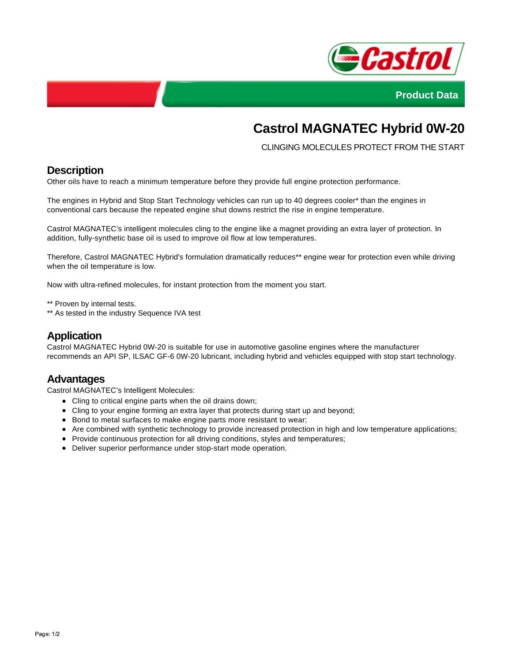



# **Castrol MAGNATEC Hybrid 0W-20**

CLINGING MOLECULES PROTECT FROM THE START

# **Description**

Other oils have to reach a minimum temperature before they provide full engine protection performance.

The engines in Hybrid and Stop Start Technology vehicles can run up to 40 degrees cooler\* than the engines in conventional cars because the repeated engine shut downs restrict the rise in engine temperature.

Castrol MAGNATEC's intelligent molecules cling to the engine like a magnet providing an extra layer of protection. In addition, fully-synthetic base oil is used to improve oil flow at low temperatures.

Therefore, Castrol MAGNATEC Hybrid's formulation dramatically reduces\*\* engine wear for protection even while driving when the oil temperature is low.

Now with ultra-refined molecules, for instant protection from the moment you start.

\*\* Proven by internal tests.

\*\* As tested in the industry Sequence IVA test

#### **Application**

Castrol MAGNATEC Hybrid 0W-20 is suitable for use in automotive gasoline engines where the manufacturer recommends an API SP, ILSAC GF-6 0W-20 lubricant, including hybrid and vehicles equipped with stop start technology.

#### **Advantages**

Castrol MAGNATEC's Intelligent Molecules:

- Cling to critical engine parts when the oil drains down;
- Cling to your engine forming an extra layer that protects during start up and beyond;
- Bond to metal surfaces to make engine parts more resistant to wear;
- Are combined with synthetic technology to provide increased protection in high and low temperature applications;
- Provide continuous protection for all driving conditions, styles and temperatures;
- Deliver superior performance under stop-start mode operation.